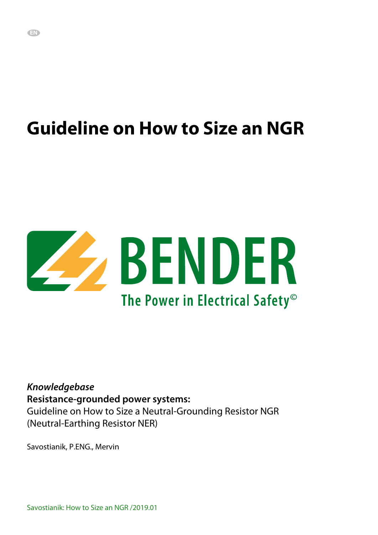# **Guideline on How to Size an NGR**



*Knowledgebase* **Resistance-grounded power systems:** Guideline on How to Size a Neutral-Grounding Resistor NGR (Neutral-Earthing Resistor NER)

<span id="page-0-0"></span>Savostianik, P.ENG., Mervin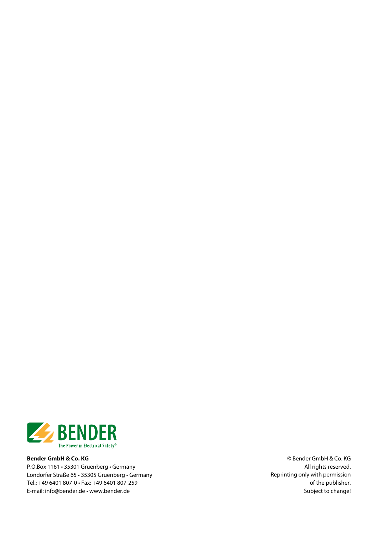

#### **Bender GmbH & Co. KG**

P.O.Box 1161 • 35301 Gruenberg • Germany Londorfer Straße 65 • 35305 Gruenberg • Germany Tel.: +49 6401 807-0 • Fax: +49 6401 807-259 E-mail: info@bender.de • www.bender.de

© Bender GmbH & Co. KG All rights reserved. Reprinting only with permission of the publisher. Subject to change!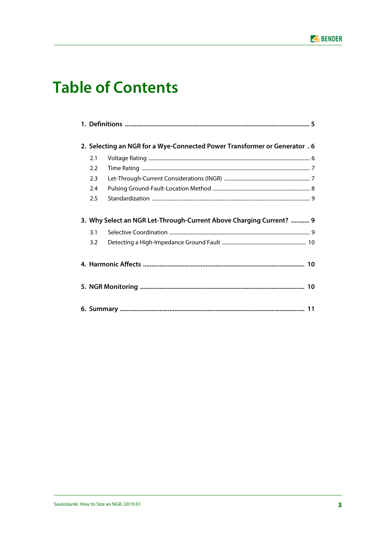

# **Table of Contents**

| 2. Selecting an NGR for a Wye-Connected Power Transformer or Generator . 6 |  |  |  |  |
|----------------------------------------------------------------------------|--|--|--|--|
| 2.1                                                                        |  |  |  |  |
| 2.2                                                                        |  |  |  |  |
| 2.3                                                                        |  |  |  |  |
| 2.4                                                                        |  |  |  |  |
| 2.5                                                                        |  |  |  |  |
| 3. Why Select an NGR Let-Through-Current Above Charging Current?  9        |  |  |  |  |
| 3.1                                                                        |  |  |  |  |
| 3.2                                                                        |  |  |  |  |
|                                                                            |  |  |  |  |
|                                                                            |  |  |  |  |
|                                                                            |  |  |  |  |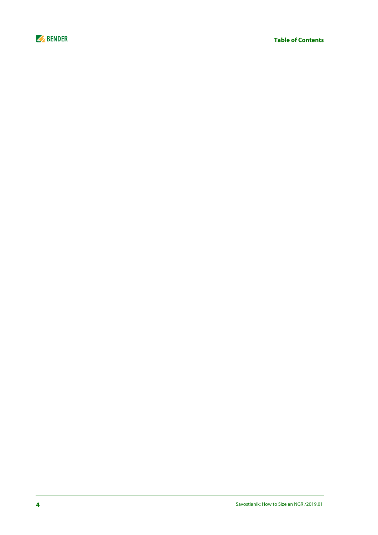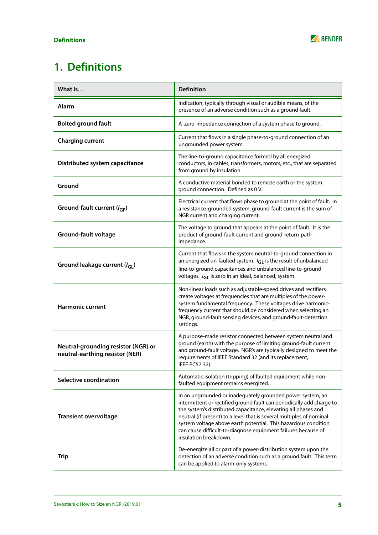

# <span id="page-4-0"></span>**1. Definitions**

| What is                                                                | <b>Definition</b>                                                                                                                                                                                                                                                                                                                                                                                                                         |
|------------------------------------------------------------------------|-------------------------------------------------------------------------------------------------------------------------------------------------------------------------------------------------------------------------------------------------------------------------------------------------------------------------------------------------------------------------------------------------------------------------------------------|
| Alarm                                                                  | Indication, typically through visual or audible means, of the<br>presence of an adverse condition such as a ground fault.                                                                                                                                                                                                                                                                                                                 |
| <b>Bolted ground fault</b>                                             | A zero-impedance connection of a system phase to ground.                                                                                                                                                                                                                                                                                                                                                                                  |
| <b>Charging current</b>                                                | Current that flows in a single phase-to-ground connection of an<br>ungrounded power system.                                                                                                                                                                                                                                                                                                                                               |
| Distributed system capacitance                                         | The line-to-ground capacitance formed by all energized<br>conductors, in cables, transformers, motors, etc., that are separated<br>from ground by insulation.                                                                                                                                                                                                                                                                             |
| Ground                                                                 | A conductive material bonded to remote earth or the system<br>ground connection. Defined as 0 V.                                                                                                                                                                                                                                                                                                                                          |
| Ground-fault current $(I_{GF})$                                        | Electrical current that flows phase to ground at the point of fault. In<br>a resistance-grounded system, ground-fault current is the sum of<br>NGR current and charging current.                                                                                                                                                                                                                                                          |
| <b>Ground-fault voltage</b>                                            | The voltage to ground that appears at the point of fault. It is the<br>product of ground-fault current and ground-return-path<br>impedance.                                                                                                                                                                                                                                                                                               |
| Ground leakage current (I <sub>GL</sub> )                              | Current that flows in the system neutral-to-ground connection in<br>an energized un-faulted system. $I_{GL}$ is the result of unbalanced<br>line-to-ground capacitances and unbalanced line-to-ground<br>voltages. I <sub>GL</sub> is zero in an ideal, balanced, system.                                                                                                                                                                 |
| <b>Harmonic current</b>                                                | Non-linear loads such as adjustable-speed drives and rectifiers<br>create voltages at frequencies that are multiples of the power-<br>system fundamental frequency. These voltages drive harmonic-<br>frequency current that should be considered when selecting an<br>NGR, ground-fault sensing devices, and ground-fault-detection<br>settings.                                                                                         |
| Neutral-grounding resistor (NGR) or<br>neutral-earthing resistor (NER) | A purpose-made resistor connected between system neutral and<br>ground (earth) with the purpose of limiting ground-fault current<br>and ground-fault voltage. NGR's are typically designed to meet the<br>requirements of IEEE Standard 32 (and its replacement,<br>IEEE PC57.32).                                                                                                                                                        |
| Selective coordination                                                 | Automatic isolation (tripping) of faulted equipment while non-<br>faulted equipment remains energized.                                                                                                                                                                                                                                                                                                                                    |
| <b>Transient overvoltage</b>                                           | In an ungrounded or inadequately grounded power system, an<br>intermittent or rectified ground fault can periodically add charge to<br>the system's distributed capacitance, elevating all phases and<br>neutral (if present) to a level that is several multiples of nominal<br>system voltage above earth potential. This hazardous condition<br>can cause difficult-to-diagnose equipment failures because of<br>insulation breakdown. |
| Trip                                                                   | De-energize all or part of a power-distribution system upon the<br>detection of an adverse condition such as a ground fault. This term<br>can be applied to alarm-only systems.                                                                                                                                                                                                                                                           |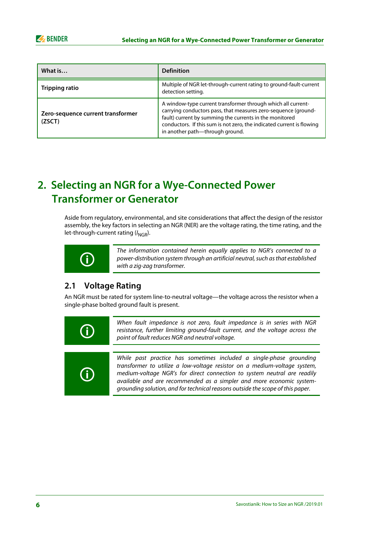| What is                                     | <b>Definition</b>                                                                                                                                                                                                                                                                                     |
|---------------------------------------------|-------------------------------------------------------------------------------------------------------------------------------------------------------------------------------------------------------------------------------------------------------------------------------------------------------|
| <b>Tripping ratio</b>                       | Multiple of NGR let-through-current rating to ground-fault-current<br>detection setting.                                                                                                                                                                                                              |
| Zero-sequence current transformer<br>(ZSCT) | A window-type current transformer through which all current-<br>carrying conductors pass, that measures zero-sequence (ground-<br>fault) current by summing the currents in the monitored<br>conductors. If this sum is not zero, the indicated current is flowing<br>in another path—through ground. |

# <span id="page-5-0"></span>**2. Selecting an NGR for a Wye-Connected Power Transformer or Generator**

Aside from regulatory, environmental, and site considerations that affect the design of the resistor assembly, the key factors in selecting an NGR (NER) are the voltage rating, the time rating, and the let-through-current rating (I<sub>NGR</sub>).



The information contained herein equally applies to NGR's connected to a power-distribution system through an artificial neutral, such as that established with a zig-zag transformer.

### <span id="page-5-1"></span>**2.1 Voltage Rating**

An NGR must be rated for system line-to-neutral voltage—the voltage across the resistor when a single-phase bolted ground fault is present.



When fault impedance is not zero, fault impedance is in series with NGR resistance, further limiting ground-fault current, and the voltage across the point of fault reduces NGR and neutral voltage.



While past practice has sometimes included a single-phase grounding transformer to utilize a low-voltage resistor on a medium-voltage system, medium-voltage NGR's for direct connection to system neutral are readily available and are recommended as a simpler and more economic systemgrounding solution, and for technical reasons outside the scope of this paper.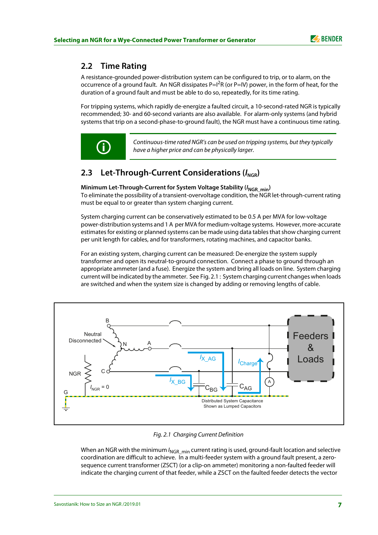

#### <span id="page-6-0"></span>**2.2 Time Rating**

A resistance-grounded power-distribution system can be configured to trip, or to alarm, on the occurrence of a ground fault. An NGR dissipates  $P=1^2R$  (or  $P=IV$ ) power, in the form of heat, for the duration of a ground fault and must be able to do so, repeatedly, for its time rating.

For tripping systems, which rapidly de-energize a faulted circuit, a 10-second-rated NGR is typically recommended; 30- and 60-second variants are also available. For alarm-only systems (and hybrid systems that trip on a second-phase-to-ground fault), the NGR must have a continuous time rating.



Continuous-time rated NGR's can be used on tripping systems, but they typically have a higher price and can be physically larger.

### <span id="page-6-1"></span>2.3 Let-Through-Current Considerations ( $I_{NGR}$ )

**Minimum Let-Through-Current for System Voltage Stability (** $I_{NGR,min}$ **)** To eliminate the possibility of a transient-overvoltage condition, the NGR let-through-current rating must be equal to or greater than system charging current.

System charging current can be conservatively estimated to be 0.5 A per MVA for low-voltage power-distribution systems and 1 A per MVA for medium-voltage systems. However, more-accurate estimates for existing or planned systems can be made using data tables that show charging current per unit length for cables, and for transformers, rotating machines, and capacitor banks.

For an existing system, charging current can be measured: De-energize the system supply transformer and open its neutral-to-ground connection. Connect a phase to ground through an appropriate ammeter (and a fuse). Energize the system and bring all loads on line. System charging current will be indicated by the ammeter. See [Fig. 2.1 :](#page-6-2) System charging current changes when loads are switched and when the system size is changed by adding or removing lengths of cable.



#### Fig. 2.1 Charging Current Definition

<span id="page-6-2"></span>When an NGR with the minimum /<sub>NGR\_min</sub> current rating is used, ground-fault location and selective coordination are difficult to achieve. In a multi-feeder system with a ground fault present, a zerosequence current transformer (ZSCT) (or a clip-on ammeter) monitoring a non-faulted feeder will indicate the charging current of that feeder, while a ZSCT on the faulted feeder detects the vector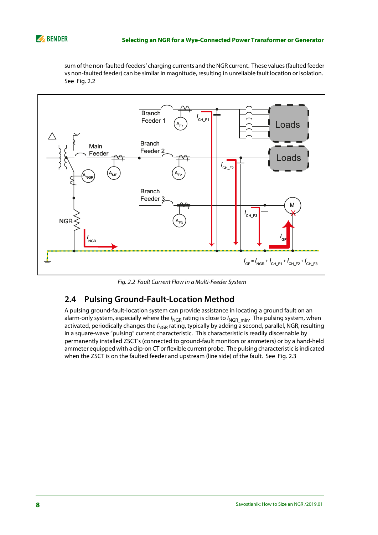sum of the non-faulted-feeders' charging currents and the NGR current. These values (faulted feeder vs non-faulted feeder) can be similar in magnitude, resulting in unreliable fault location or isolation. See [Fig. 2.2](#page-7-1) 



Fig. 2.2 Fault Current Flow in a Multi-Feeder System

## <span id="page-7-1"></span><span id="page-7-0"></span>**2.4 Pulsing Ground-Fault-Location Method**

A pulsing ground-fault-location system can provide assistance in locating a ground fault on an alarm-only system, especially where the /<sub>NGR</sub> rating is close to /<sub>NGR\_min</sub>. The pulsing system, when activated, periodically changes the *l<sub>NGR</sub> r*ating, typically by adding a second, parallel, NGR, resulting in a square-wave "pulsing" current characteristic. This characteristic is readily discernable by permanently installed ZSCT's (connected to ground-fault monitors or ammeters) or by a hand-held ammeter equipped with a clip-on CT or flexible current probe. The pulsing characteristic is indicated when the ZSCT is on the faulted feeder and upstream (line side) of the fault. See [Fig. 2.3](#page-8-3)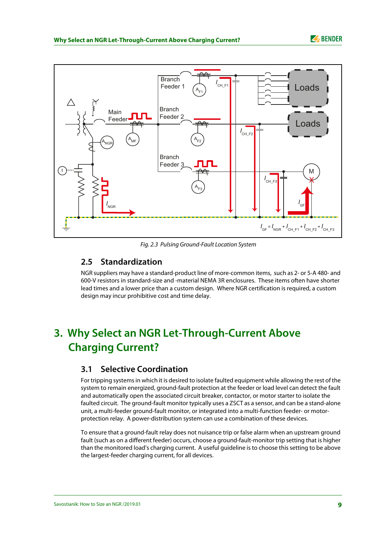



Fig. 2.3 Pulsing Ground-Fault Location System

#### <span id="page-8-3"></span><span id="page-8-0"></span>**2.5 Standardization**

NGR suppliers may have a standard-product line of more-common items, such as 2- or 5-A 480- and 600-V resistors in standard-size and -material NEMA 3R enclosures. These items often have shorter lead times and a lower price than a custom design. Where NGR certification is required, a custom design may incur prohibitive cost and time delay.

# <span id="page-8-1"></span>**3. Why Select an NGR Let-Through-Current Above Charging Current?**

#### <span id="page-8-2"></span>**3.1 Selective Coordination**

For tripping systems in which it is desired to isolate faulted equipment while allowing the rest of the system to remain energized, ground-fault protection at the feeder or load level can detect the fault and automatically open the associated circuit breaker, contactor, or motor starter to isolate the faulted circuit. The ground-fault monitor typically uses a ZSCT as a sensor, and can be a stand-alone unit, a multi-feeder ground-fault monitor, or integrated into a multi-function feeder- or motorprotection relay. A power-distribution system can use a combination of these devices.

To ensure that a ground-fault relay does not nuisance trip or false alarm when an upstream ground fault (such as on a different feeder) occurs, choose a ground-fault-monitor trip setting that is higher than the monitored load's charging current. A useful guideline is to choose this setting to be above the largest-feeder charging current, for all devices.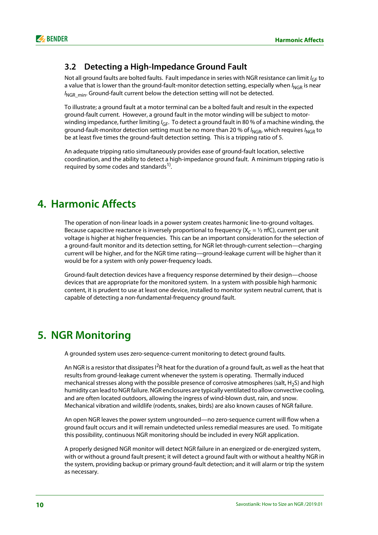#### <span id="page-9-0"></span>**3.2 Detecting a High-Impedance Ground Fault**

Not all ground faults are bolted faults. Fault impedance in series with NGR resistance can limit *l<sub>GF</sub> t*o a value that is lower than the ground-fault-monitor detection setting, especially when /<sub>NGR</sub> is near /<sub>NGR\_min</sub>. Ground-fault current below the detection setting will not be detected.

To illustrate; a ground fault at a motor terminal can be a bolted fault and result in the expected ground-fault current. However, a ground fault in the motor winding will be subject to motorwinding impedance, further limiting / $_{\mathrm{GF}}.$  To detect a ground fault in 80 % of a machine winding, the ground-fault-monitor detection setting must be no more than 20 % of /<sub>NGR</sub>, which requires /<sub>NGR</sub> to be at least five times the ground-fault detection setting. This is a tripping ratio of 5.

An adequate tripping ratio simultaneously provides ease of ground-fault location, selective coordination, and the ability to detect a high-impedance ground fault. A minimum tripping ratio is required by some codes and standards<sup>1)</sup>.

## <span id="page-9-1"></span>**4. Harmonic Affects**

The operation of non-linear loads in a power system creates harmonic line-to-ground voltages. Because capacitive reactance is inversely proportional to frequency ( $X<sub>C</sub> = \frac{1}{2}$   $\pi$ fC), current per unit voltage is higher at higher frequencies. This can be an important consideration for the selection of a ground-fault monitor and its detection setting, for NGR let-through-current selection—charging current will be higher, and for the NGR time rating—ground-leakage current will be higher than it would be for a system with only power-frequency loads.

Ground-fault detection devices have a frequency response determined by their design—choose devices that are appropriate for the monitored system. In a system with possible high harmonic content, it is prudent to use at least one device, installed to monitor system neutral current, that is capable of detecting a non-fundamental-frequency ground fault.

## <span id="page-9-2"></span>**5. NGR Monitoring**

A grounded system uses zero-sequence-current monitoring to detect ground faults.

An NGR is a resistor that dissipates  $1^2R$  heat for the duration of a ground fault, as well as the heat that results from ground-leakage current whenever the system is operating. Thermally induced mechanical stresses along with the possible presence of corrosive atmospheres (salt, H<sub>2</sub>S) and high humidity can lead to NGR failure. NGR enclosures are typically ventilated to allow convective cooling, and are often located outdoors, allowing the ingress of wind-blown dust, rain, and snow. Mechanical vibration and wildlife (rodents, snakes, birds) are also known causes of NGR failure.

An open NGR leaves the power system ungrounded—no zero-sequence current will flow when a ground fault occurs and it will remain undetected unless remedial measures are used. To mitigate this possibility, continuous NGR monitoring should be included in every NGR application.

A properly designed NGR monitor will detect NGR failure in an energized or de-energized system, with or without a ground fault present; it will detect a ground fault with or without a healthy NGR in the system, providing backup or primary ground-fault detection; and it will alarm or trip the system as necessary.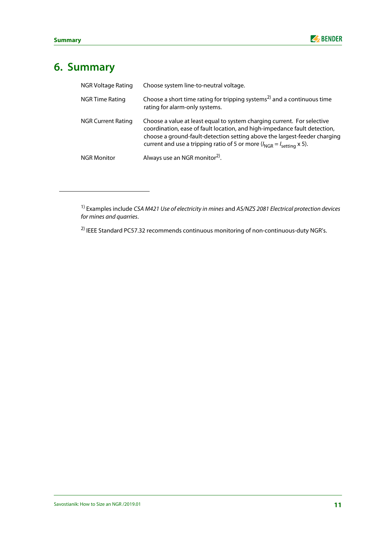

# <span id="page-10-0"></span>**6. Summary**

| <b>NGR Voltage Rating</b> | Choose system line-to-neutral voltage.                                                                                                                                                                                                                                                                                                |
|---------------------------|---------------------------------------------------------------------------------------------------------------------------------------------------------------------------------------------------------------------------------------------------------------------------------------------------------------------------------------|
| <b>NGR Time Rating</b>    | Choose a short time rating for tripping systems <sup>2)</sup> and a continuous time<br>rating for alarm-only systems.                                                                                                                                                                                                                 |
| <b>NGR Current Rating</b> | Choose a value at least equal to system charging current. For selective<br>coordination, ease of fault location, and high-impedance fault detection,<br>choose a ground-fault-detection setting above the largest-feeder charging<br>current and use a tripping ratio of 5 or more $(l_{\text{NGR}} = l_{\text{setting}} \times 5)$ . |
| NGR Monitor               | Always use an NGR monitor <sup>2)</sup> .                                                                                                                                                                                                                                                                                             |
|                           |                                                                                                                                                                                                                                                                                                                                       |

 $1)$  Examples include CSA M421 Use of electricity in mines and AS/NZS 2081 Electrical protection devices for mines and quarries.

<sup>&</sup>lt;sup>2)</sup> IEEE Standard PC57.32 recommends continuous monitoring of non-continuous-duty NGR's.